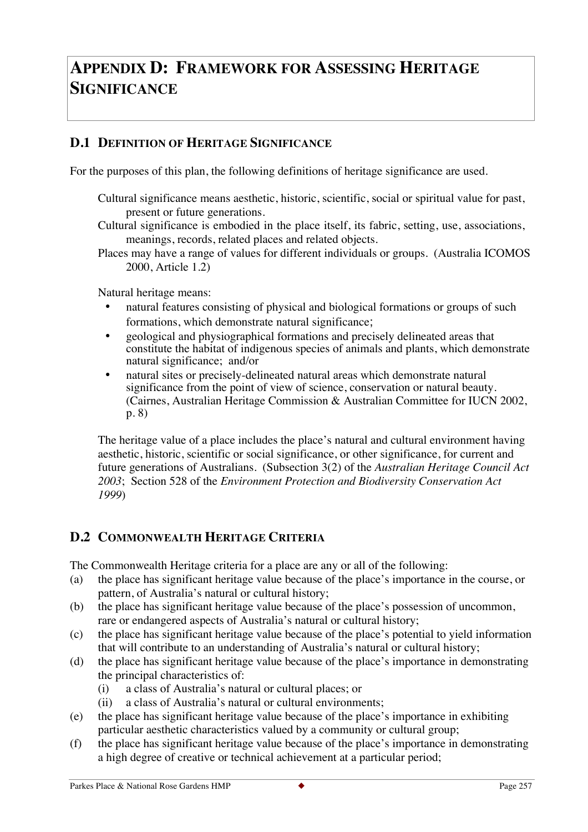# **APPENDIX D: FRAMEWORK FOR ASSESSING HERITAGE SIGNIFICANCE**

# **D.1 DEFINITION OF HERITAGE SIGNIFICANCE**

For the purposes of this plan, the following definitions of heritage significance are used.

- Cultural significance means aesthetic, historic, scientific, social or spiritual value for past, present or future generations.
- Cultural significance is embodied in the place itself, its fabric, setting, use, associations, meanings, records, related places and related objects.
- Places may have a range of values for different individuals or groups. (Australia ICOMOS 2000, Article 1.2)

Natural heritage means:

- natural features consisting of physical and biological formations or groups of such formations, which demonstrate natural significance;
- geological and physiographical formations and precisely delineated areas that constitute the habitat of indigenous species of animals and plants, which demonstrate natural significance; and/or
- natural sites or precisely-delineated natural areas which demonstrate natural significance from the point of view of science, conservation or natural beauty. (Cairnes, Australian Heritage Commission & Australian Committee for IUCN 2002, p. 8)

The heritage value of a place includes the place's natural and cultural environment having aesthetic, historic, scientific or social significance, or other significance, for current and future generations of Australians. (Subsection 3(2) of the *Australian Heritage Council Act 2003*; Section 528 of the *Environment Protection and Biodiversity Conservation Act 1999*)

# **D.2 COMMONWEALTH HERITAGE CRITERIA**

The Commonwealth Heritage criteria for a place are any or all of the following:

- (a) the place has significant heritage value because of the place's importance in the course, or pattern, of Australia's natural or cultural history;
- (b) the place has significant heritage value because of the place's possession of uncommon, rare or endangered aspects of Australia's natural or cultural history;
- (c) the place has significant heritage value because of the place's potential to yield information that will contribute to an understanding of Australia's natural or cultural history;
- (d) the place has significant heritage value because of the place's importance in demonstrating the principal characteristics of:
	- (i) a class of Australia's natural or cultural places; or
	- (ii) a class of Australia's natural or cultural environments;
- (e) the place has significant heritage value because of the place's importance in exhibiting particular aesthetic characteristics valued by a community or cultural group;
- (f) the place has significant heritage value because of the place's importance in demonstrating a high degree of creative or technical achievement at a particular period;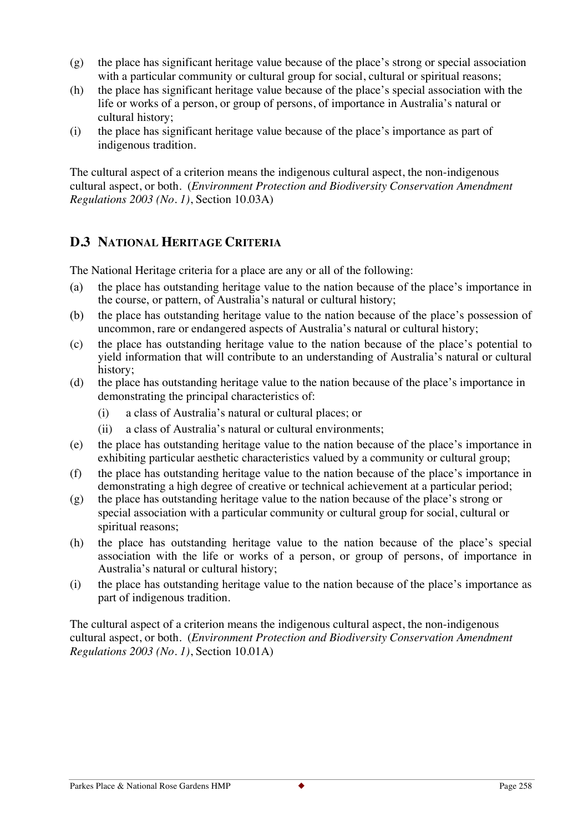- (g) the place has significant heritage value because of the place's strong or special association with a particular community or cultural group for social, cultural or spiritual reasons;
- (h) the place has significant heritage value because of the place's special association with the life or works of a person, or group of persons, of importance in Australia's natural or cultural history;
- (i) the place has significant heritage value because of the place's importance as part of indigenous tradition.

The cultural aspect of a criterion means the indigenous cultural aspect, the non-indigenous cultural aspect, or both. (*Environment Protection and Biodiversity Conservation Amendment Regulations 2003 (No. 1)*, Section 10.03A)

# **D.3 NATIONAL HERITAGE CRITERIA**

The National Heritage criteria for a place are any or all of the following:

- (a) the place has outstanding heritage value to the nation because of the place's importance in the course, or pattern, of Australia's natural or cultural history;
- (b) the place has outstanding heritage value to the nation because of the place's possession of uncommon, rare or endangered aspects of Australia's natural or cultural history;
- (c) the place has outstanding heritage value to the nation because of the place's potential to yield information that will contribute to an understanding of Australia's natural or cultural history;
- (d) the place has outstanding heritage value to the nation because of the place's importance in demonstrating the principal characteristics of:
	- (i) a class of Australia's natural or cultural places; or
	- (ii) a class of Australia's natural or cultural environments;
- (e) the place has outstanding heritage value to the nation because of the place's importance in exhibiting particular aesthetic characteristics valued by a community or cultural group;
- (f) the place has outstanding heritage value to the nation because of the place's importance in demonstrating a high degree of creative or technical achievement at a particular period;
- (g) the place has outstanding heritage value to the nation because of the place's strong or special association with a particular community or cultural group for social, cultural or spiritual reasons;
- (h) the place has outstanding heritage value to the nation because of the place's special association with the life or works of a person, or group of persons, of importance in Australia's natural or cultural history;
- (i) the place has outstanding heritage value to the nation because of the place's importance as part of indigenous tradition.

The cultural aspect of a criterion means the indigenous cultural aspect, the non-indigenous cultural aspect, or both. (*Environment Protection and Biodiversity Conservation Amendment Regulations 2003 (No. 1)*, Section 10.01A)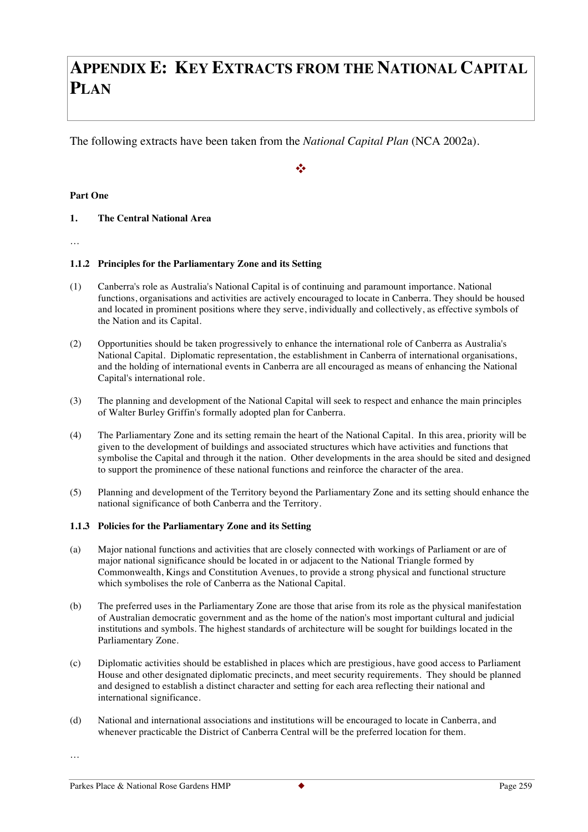# **APPENDIX E: KEY EXTRACTS FROM THE NATIONAL CAPITAL PLAN**

The following extracts have been taken from the *National Capital Plan* (NCA 2002a).

≪

# **Part One**

# **1. The Central National Area**

…

# **1.1.2 Principles for the Parliamentary Zone and its Setting**

- (1) Canberra's role as Australia's National Capital is of continuing and paramount importance. National functions, organisations and activities are actively encouraged to locate in Canberra. They should be housed and located in prominent positions where they serve, individually and collectively, as effective symbols of the Nation and its Capital.
- (2) Opportunities should be taken progressively to enhance the international role of Canberra as Australia's National Capital. Diplomatic representation, the establishment in Canberra of international organisations, and the holding of international events in Canberra are all encouraged as means of enhancing the National Capital's international role.
- (3) The planning and development of the National Capital will seek to respect and enhance the main principles of Walter Burley Griffin's formally adopted plan for Canberra.
- (4) The Parliamentary Zone and its setting remain the heart of the National Capital. In this area, priority will be given to the development of buildings and associated structures which have activities and functions that symbolise the Capital and through it the nation. Other developments in the area should be sited and designed to support the prominence of these national functions and reinforce the character of the area.
- (5) Planning and development of the Territory beyond the Parliamentary Zone and its setting should enhance the national significance of both Canberra and the Territory.

# **1.1.3 Policies for the Parliamentary Zone and its Setting**

- (a) Major national functions and activities that are closely connected with workings of Parliament or are of major national significance should be located in or adjacent to the National Triangle formed by Commonwealth, Kings and Constitution Avenues, to provide a strong physical and functional structure which symbolises the role of Canberra as the National Capital.
- (b) The preferred uses in the Parliamentary Zone are those that arise from its role as the physical manifestation of Australian democratic government and as the home of the nation's most important cultural and judicial institutions and symbols. The highest standards of architecture will be sought for buildings located in the Parliamentary Zone.
- (c) Diplomatic activities should be established in places which are prestigious, have good access to Parliament House and other designated diplomatic precincts, and meet security requirements. They should be planned and designed to establish a distinct character and setting for each area reflecting their national and international significance.
- (d) National and international associations and institutions will be encouraged to locate in Canberra, and whenever practicable the District of Canberra Central will be the preferred location for them.

…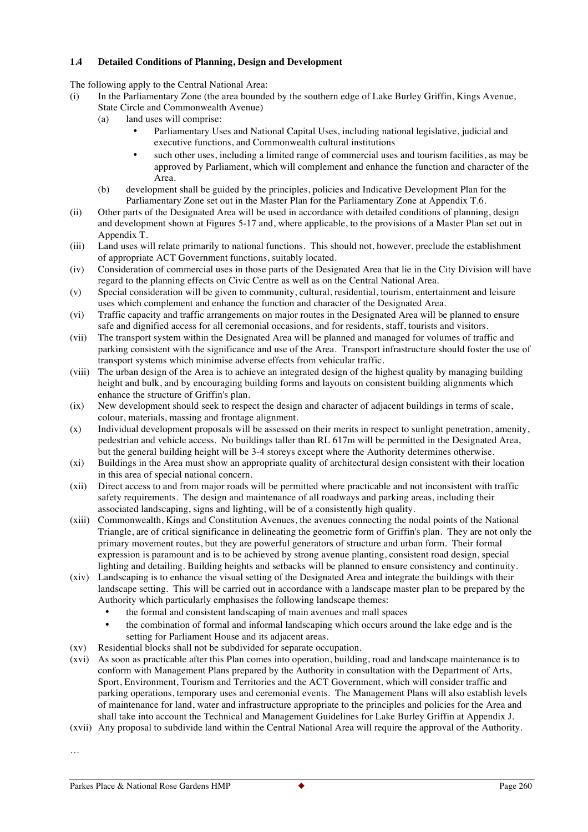# **1.4 Detailed Conditions of Planning, Design and Development**

The following apply to the Central National Area:

- (i) In the Parliamentary Zone (the area bounded by the southern edge of Lake Burley Griffin, Kings Avenue, State Circle and Commonwealth Avenue)
	- (a) land uses will comprise:
		- Parliamentary Uses and National Capital Uses, including national legislative, judicial and executive functions, and Commonwealth cultural institutions
		- such other uses, including a limited range of commercial uses and tourism facilities, as may be approved by Parliament, which will complement and enhance the function and character of the Area.
	- (b) development shall be guided by the principles, policies and Indicative Development Plan for the Parliamentary Zone set out in the Master Plan for the Parliamentary Zone at Appendix T.6.
- (ii) Other parts of the Designated Area will be used in accordance with detailed conditions of planning, design and development shown at Figures 5-17 and, where applicable, to the provisions of a Master Plan set out in Appendix T.
- (iii) Land uses will relate primarily to national functions. This should not, however, preclude the establishment of appropriate ACT Government functions, suitably located.
- (iv) Consideration of commercial uses in those parts of the Designated Area that lie in the City Division will have regard to the planning effects on Civic Centre as well as on the Central National Area.
- (v) Special consideration will be given to community, cultural, residential, tourism, entertainment and leisure uses which complement and enhance the function and character of the Designated Area.
- (vi) Traffic capacity and traffic arrangements on major routes in the Designated Area will be planned to ensure safe and dignified access for all ceremonial occasions, and for residents, staff, tourists and visitors.
- (vii) The transport system within the Designated Area will be planned and managed for volumes of traffic and parking consistent with the significance and use of the Area. Transport infrastructure should foster the use of transport systems which minimise adverse effects from vehicular traffic.
- (viii) The urban design of the Area is to achieve an integrated design of the highest quality by managing building height and bulk, and by encouraging building forms and layouts on consistent building alignments which enhance the structure of Griffin's plan.
- (ix) New development should seek to respect the design and character of adjacent buildings in terms of scale, colour, materials, massing and frontage alignment.
- (x) Individual development proposals will be assessed on their merits in respect to sunlight penetration, amenity, pedestrian and vehicle access. No buildings taller than RL 617m will be permitted in the Designated Area, but the general building height will be 3-4 storeys except where the Authority determines otherwise.
- (xi) Buildings in the Area must show an appropriate quality of architectural design consistent with their location in this area of special national concern.
- (xii) Direct access to and from major roads will be permitted where practicable and not inconsistent with traffic safety requirements. The design and maintenance of all roadways and parking areas, including their associated landscaping, signs and lighting, will be of a consistently high quality.
- (xiii) Commonwealth, Kings and Constitution Avenues, the avenues connecting the nodal points of the National Triangle, are of critical significance in delineating the geometric form of Griffin's plan. They are not only the primary movement routes, but they are powerful generators of structure and urban form. Their formal expression is paramount and is to be achieved by strong avenue planting, consistent road design, special lighting and detailing. Building heights and setbacks will be planned to ensure consistency and continuity.
- (xiv) Landscaping is to enhance the visual setting of the Designated Area and integrate the buildings with their landscape setting. This will be carried out in accordance with a landscape master plan to be prepared by the Authority which particularly emphasises the following landscape themes:
	- the formal and consistent landscaping of main avenues and mall spaces
	- the combination of formal and informal landscaping which occurs around the lake edge and is the setting for Parliament House and its adjacent areas.
- (xv) Residential blocks shall not be subdivided for separate occupation.
- (xvi) As soon as practicable after this Plan comes into operation, building, road and landscape maintenance is to conform with Management Plans prepared by the Authority in consultation with the Department of Arts, Sport, Environment, Tourism and Territories and the ACT Government, which will consider traffic and parking operations, temporary uses and ceremonial events. The Management Plans will also establish levels of maintenance for land, water and infrastructure appropriate to the principles and policies for the Area and shall take into account the Technical and Management Guidelines for Lake Burley Griffin at Appendix J.
- (xvii) Any proposal to subdivide land within the Central National Area will require the approval of the Authority.

…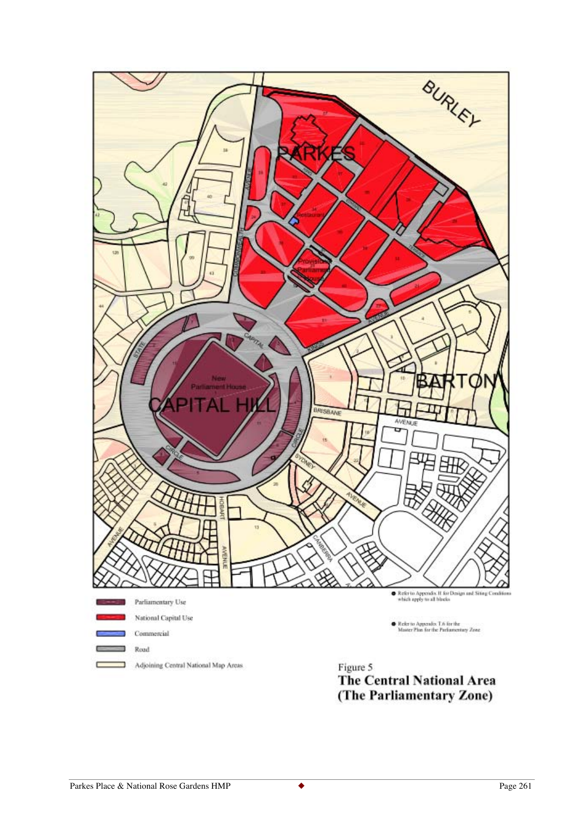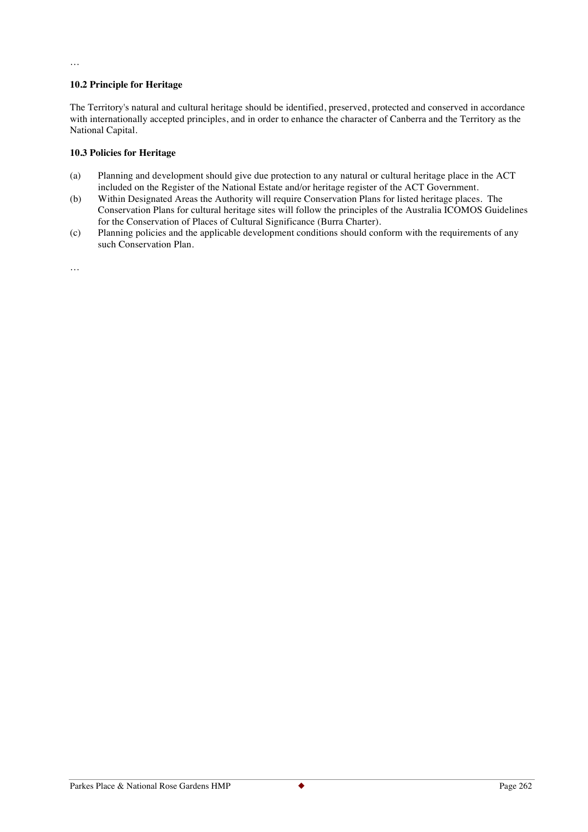# **10.2 Principle for Heritage**

The Territory's natural and cultural heritage should be identified, preserved, protected and conserved in accordance with internationally accepted principles, and in order to enhance the character of Canberra and the Territory as the National Capital.

# **10.3 Policies for Heritage**

- (a) Planning and development should give due protection to any natural or cultural heritage place in the ACT included on the Register of the National Estate and/or heritage register of the ACT Government.
- (b) Within Designated Areas the Authority will require Conservation Plans for listed heritage places. The Conservation Plans for cultural heritage sites will follow the principles of the Australia ICOMOS Guidelines for the Conservation of Places of Cultural Significance (Burra Charter).
- (c) Planning policies and the applicable development conditions should conform with the requirements of any such Conservation Plan.

…

…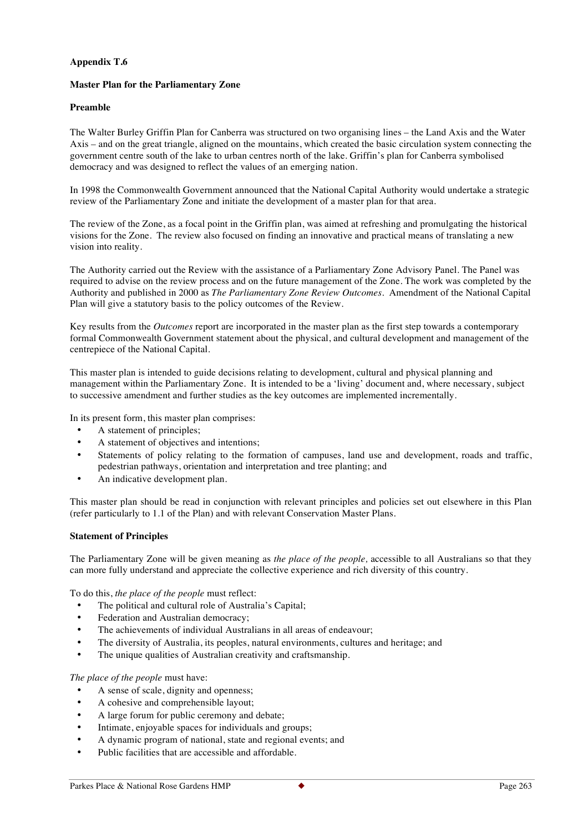# **Appendix T.6**

# **Master Plan for the Parliamentary Zone**

#### **Preamble**

The Walter Burley Griffin Plan for Canberra was structured on two organising lines – the Land Axis and the Water Axis – and on the great triangle, aligned on the mountains, which created the basic circulation system connecting the government centre south of the lake to urban centres north of the lake. Griffin's plan for Canberra symbolised democracy and was designed to reflect the values of an emerging nation.

In 1998 the Commonwealth Government announced that the National Capital Authority would undertake a strategic review of the Parliamentary Zone and initiate the development of a master plan for that area.

The review of the Zone, as a focal point in the Griffin plan, was aimed at refreshing and promulgating the historical visions for the Zone. The review also focused on finding an innovative and practical means of translating a new vision into reality.

The Authority carried out the Review with the assistance of a Parliamentary Zone Advisory Panel. The Panel was required to advise on the review process and on the future management of the Zone. The work was completed by the Authority and published in 2000 as *The Parliamentary Zone Review Outcomes*. Amendment of the National Capital Plan will give a statutory basis to the policy outcomes of the Review.

Key results from the *Outcomes* report are incorporated in the master plan as the first step towards a contemporary formal Commonwealth Government statement about the physical, and cultural development and management of the centrepiece of the National Capital.

This master plan is intended to guide decisions relating to development, cultural and physical planning and management within the Parliamentary Zone. It is intended to be a 'living' document and, where necessary, subject to successive amendment and further studies as the key outcomes are implemented incrementally.

In its present form, this master plan comprises:

- A statement of principles;
- A statement of objectives and intentions;
- Statements of policy relating to the formation of campuses, land use and development, roads and traffic, pedestrian pathways, orientation and interpretation and tree planting; and
- An indicative development plan.

This master plan should be read in conjunction with relevant principles and policies set out elsewhere in this Plan (refer particularly to 1.1 of the Plan) and with relevant Conservation Master Plans.

#### **Statement of Principles**

The Parliamentary Zone will be given meaning as *the place of the people,* accessible to all Australians so that they can more fully understand and appreciate the collective experience and rich diversity of this country.

To do this, *the place of the people* must reflect:

- The political and cultural role of Australia's Capital;
- Federation and Australian democracy;
- The achievements of individual Australians in all areas of endeavour;
- The diversity of Australia, its peoples, natural environments, cultures and heritage; and
- The unique qualities of Australian creativity and craftsmanship.

# *The place of the people* must have:

- A sense of scale, dignity and openness;
- A cohesive and comprehensible layout;
- A large forum for public ceremony and debate;
- Intimate, enjoyable spaces for individuals and groups;
- A dynamic program of national, state and regional events; and
- Public facilities that are accessible and affordable.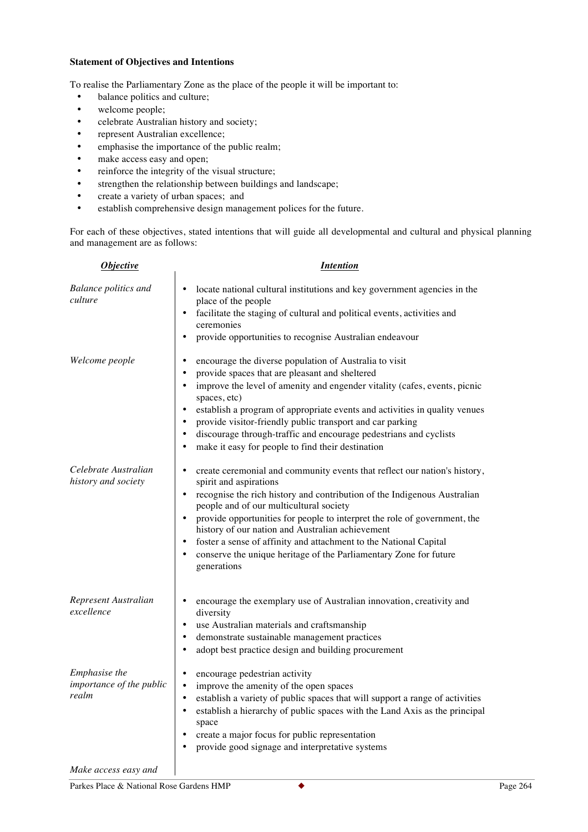# **Statement of Objectives and Intentions**

To realise the Parliamentary Zone as the place of the people it will be important to:

- balance politics and culture;
- welcome people;
- celebrate Australian history and society;
- represent Australian excellence;
- emphasise the importance of the public realm;<br>• make access easy and open:
- make access easy and open;
- reinforce the integrity of the visual structure;
- strengthen the relationship between buildings and landscape;
- create a variety of urban spaces; and
- establish comprehensive design management polices for the future.

For each of these objectives, stated intentions that will guide all developmental and cultural and physical planning and management are as follows:

| <i><b>Objective</b></i>                            | <i><u><b>Intention</b></u></i>                                                                                                                                                                                                                                                                                                                                                                                                                                                                                                         |
|----------------------------------------------------|----------------------------------------------------------------------------------------------------------------------------------------------------------------------------------------------------------------------------------------------------------------------------------------------------------------------------------------------------------------------------------------------------------------------------------------------------------------------------------------------------------------------------------------|
| <b>Balance</b> politics and<br>culture             | locate national cultural institutions and key government agencies in the<br>place of the people<br>facilitate the staging of cultural and political events, activities and<br>$\bullet$                                                                                                                                                                                                                                                                                                                                                |
|                                                    | ceremonies<br>provide opportunities to recognise Australian endeavour<br>$\bullet$                                                                                                                                                                                                                                                                                                                                                                                                                                                     |
| Welcome people                                     | encourage the diverse population of Australia to visit<br>٠<br>provide spaces that are pleasant and sheltered<br>$\bullet$<br>improve the level of amenity and engender vitality (cafes, events, picnic<br>spaces, etc)<br>$\bullet$<br>establish a program of appropriate events and activities in quality venues<br>provide visitor-friendly public transport and car parking<br>$\bullet$<br>discourage through-traffic and encourage pedestrians and cyclists<br>$\bullet$<br>make it easy for people to find their destination    |
| Celebrate Australian<br>history and society        | create ceremonial and community events that reflect our nation's history,<br>spirit and aspirations<br>recognise the rich history and contribution of the Indigenous Australian<br>٠<br>people and of our multicultural society<br>provide opportunities for people to interpret the role of government, the<br>history of our nation and Australian achievement<br>foster a sense of affinity and attachment to the National Capital<br>$\bullet$<br>conserve the unique heritage of the Parliamentary Zone for future<br>generations |
| Represent Australian<br>excellence                 | encourage the exemplary use of Australian innovation, creativity and<br>diversity<br>use Australian materials and craftsmanship<br>٠<br>demonstrate sustainable management practices<br>$\bullet$<br>adopt best practice design and building procurement<br>$\bullet$                                                                                                                                                                                                                                                                  |
| Emphasise the<br>importance of the public<br>realm | encourage pedestrian activity<br>$\bullet$<br>improve the amenity of the open spaces<br>٠<br>establish a variety of public spaces that will support a range of activities<br>$\bullet$<br>establish a hierarchy of public spaces with the Land Axis as the principal<br>space<br>create a major focus for public representation<br>provide good signage and interpretative systems                                                                                                                                                     |
| Make access easy and                               |                                                                                                                                                                                                                                                                                                                                                                                                                                                                                                                                        |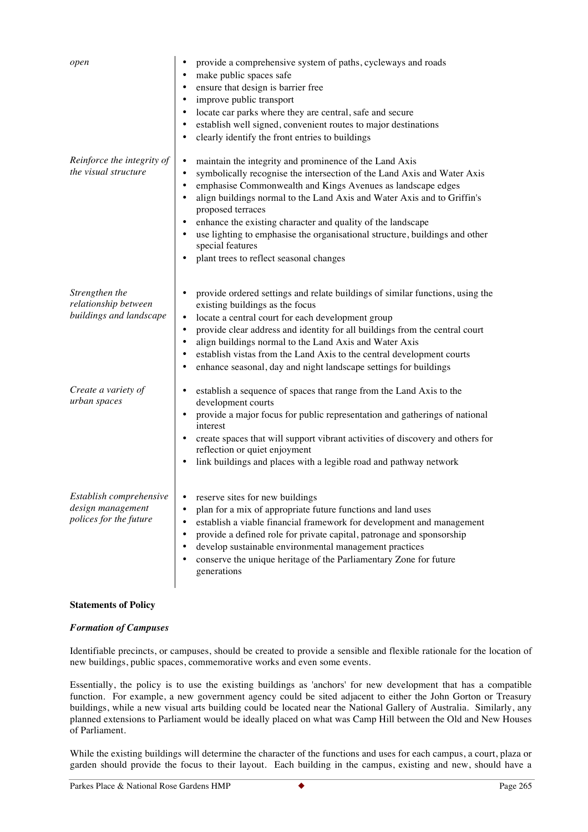| open                                                                   | provide a comprehensive system of paths, cycleways and roads<br>make public spaces safe<br>ensure that design is barrier free<br>improve public transport<br>locate car parks where they are central, safe and secure<br>establish well signed, convenient routes to major destinations<br>٠<br>clearly identify the front entries to buildings                                                                                                                                                                                      |
|------------------------------------------------------------------------|--------------------------------------------------------------------------------------------------------------------------------------------------------------------------------------------------------------------------------------------------------------------------------------------------------------------------------------------------------------------------------------------------------------------------------------------------------------------------------------------------------------------------------------|
| Reinforce the integrity of<br>the visual structure                     | maintain the integrity and prominence of the Land Axis<br>٠<br>symbolically recognise the intersection of the Land Axis and Water Axis<br>٠<br>emphasise Commonwealth and Kings Avenues as landscape edges<br>$\bullet$<br>align buildings normal to the Land Axis and Water Axis and to Griffin's<br>proposed terraces<br>enhance the existing character and quality of the landscape<br>use lighting to emphasise the organisational structure, buildings and other<br>special features<br>plant trees to reflect seasonal changes |
| Strengthen the<br>relationship between<br>buildings and landscape      | provide ordered settings and relate buildings of similar functions, using the<br>٠<br>existing buildings as the focus<br>locate a central court for each development group<br>٠<br>provide clear address and identity for all buildings from the central court<br>$\bullet$<br>align buildings normal to the Land Axis and Water Axis<br>establish vistas from the Land Axis to the central development courts<br>٠<br>enhance seasonal, day and night landscape settings for buildings<br>٠                                         |
| Create a variety of<br>urban spaces                                    | establish a sequence of spaces that range from the Land Axis to the<br>٠<br>development courts<br>provide a major focus for public representation and gatherings of national<br>$\bullet$<br>interest<br>create spaces that will support vibrant activities of discovery and others for<br>$\bullet$<br>reflection or quiet enjoyment<br>link buildings and places with a legible road and pathway network<br>٠                                                                                                                      |
| Establish comprehensive<br>design management<br>polices for the future | • reserve sites for new buildings<br>plan for a mix of appropriate future functions and land uses<br>establish a viable financial framework for development and management<br>provide a defined role for private capital, patronage and sponsorship<br>develop sustainable environmental management practices<br>conserve the unique heritage of the Parliamentary Zone for future<br>generations                                                                                                                                    |

#### **Statements of Policy**

#### *Formation of Campuses*

Identifiable precincts, or campuses, should be created to provide a sensible and flexible rationale for the location of new buildings, public spaces, commemorative works and even some events.

Essentially, the policy is to use the existing buildings as 'anchors' for new development that has a compatible function. For example, a new government agency could be sited adjacent to either the John Gorton or Treasury buildings, while a new visual arts building could be located near the National Gallery of Australia. Similarly, any planned extensions to Parliament would be ideally placed on what was Camp Hill between the Old and New Houses of Parliament.

While the existing buildings will determine the character of the functions and uses for each campus, a court, plaza or garden should provide the focus to their layout. Each building in the campus, existing and new, should have a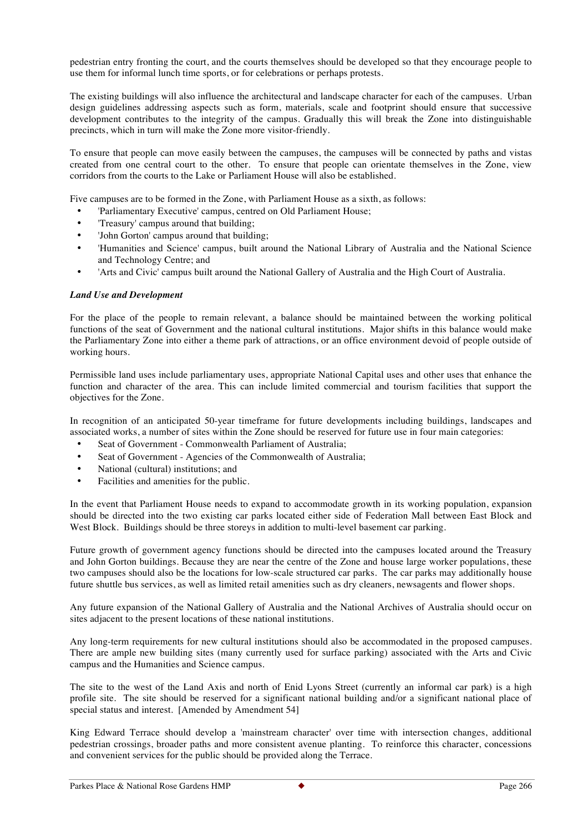pedestrian entry fronting the court, and the courts themselves should be developed so that they encourage people to use them for informal lunch time sports, or for celebrations or perhaps protests.

The existing buildings will also influence the architectural and landscape character for each of the campuses. Urban design guidelines addressing aspects such as form, materials, scale and footprint should ensure that successive development contributes to the integrity of the campus. Gradually this will break the Zone into distinguishable precincts, which in turn will make the Zone more visitor-friendly.

To ensure that people can move easily between the campuses, the campuses will be connected by paths and vistas created from one central court to the other. To ensure that people can orientate themselves in the Zone, view corridors from the courts to the Lake or Parliament House will also be established.

Five campuses are to be formed in the Zone, with Parliament House as a sixth, as follows:

- 'Parliamentary Executive' campus, centred on Old Parliament House;
- 'Treasury' campus around that building;
- 'John Gorton' campus around that building;
- 'Humanities and Science' campus, built around the National Library of Australia and the National Science and Technology Centre; and
- 'Arts and Civic' campus built around the National Gallery of Australia and the High Court of Australia.

# *Land Use and Development*

For the place of the people to remain relevant, a balance should be maintained between the working political functions of the seat of Government and the national cultural institutions. Major shifts in this balance would make the Parliamentary Zone into either a theme park of attractions, or an office environment devoid of people outside of working hours.

Permissible land uses include parliamentary uses, appropriate National Capital uses and other uses that enhance the function and character of the area. This can include limited commercial and tourism facilities that support the objectives for the Zone.

In recognition of an anticipated 50-year timeframe for future developments including buildings, landscapes and associated works, a number of sites within the Zone should be reserved for future use in four main categories:

- Seat of Government Commonwealth Parliament of Australia;
- Seat of Government Agencies of the Commonwealth of Australia;
- National (cultural) institutions; and
- Facilities and amenities for the public.

In the event that Parliament House needs to expand to accommodate growth in its working population, expansion should be directed into the two existing car parks located either side of Federation Mall between East Block and West Block. Buildings should be three storeys in addition to multi-level basement car parking.

Future growth of government agency functions should be directed into the campuses located around the Treasury and John Gorton buildings. Because they are near the centre of the Zone and house large worker populations, these two campuses should also be the locations for low-scale structured car parks. The car parks may additionally house future shuttle bus services, as well as limited retail amenities such as dry cleaners, newsagents and flower shops.

Any future expansion of the National Gallery of Australia and the National Archives of Australia should occur on sites adjacent to the present locations of these national institutions.

Any long-term requirements for new cultural institutions should also be accommodated in the proposed campuses. There are ample new building sites (many currently used for surface parking) associated with the Arts and Civic campus and the Humanities and Science campus.

The site to the west of the Land Axis and north of Enid Lyons Street (currently an informal car park) is a high profile site. The site should be reserved for a significant national building and/or a significant national place of special status and interest. [Amended by Amendment 54]

King Edward Terrace should develop a 'mainstream character' over time with intersection changes, additional pedestrian crossings, broader paths and more consistent avenue planting. To reinforce this character, concessions and convenient services for the public should be provided along the Terrace.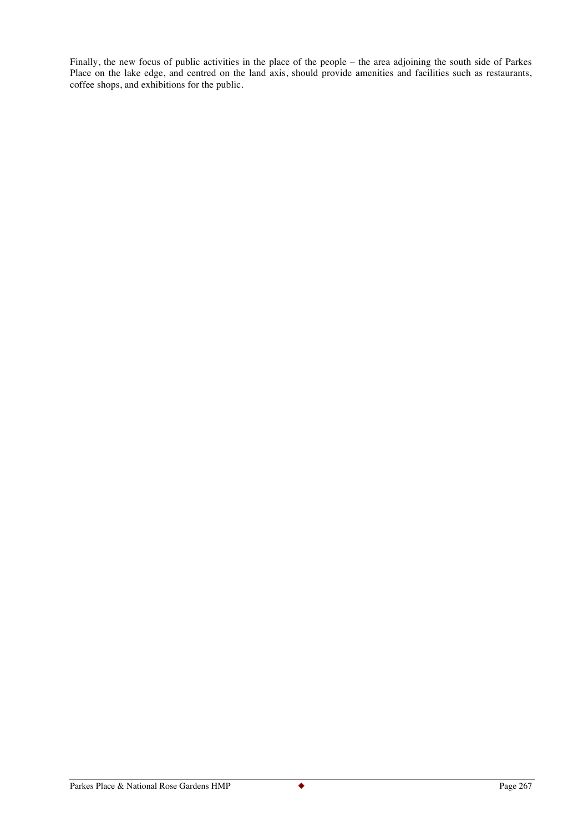Finally, the new focus of public activities in the place of the people – the area adjoining the south side of Parkes Place on the lake edge, and centred on the land axis, should provide amenities and facilities such as restaurants, coffee shops, and exhibitions for the public.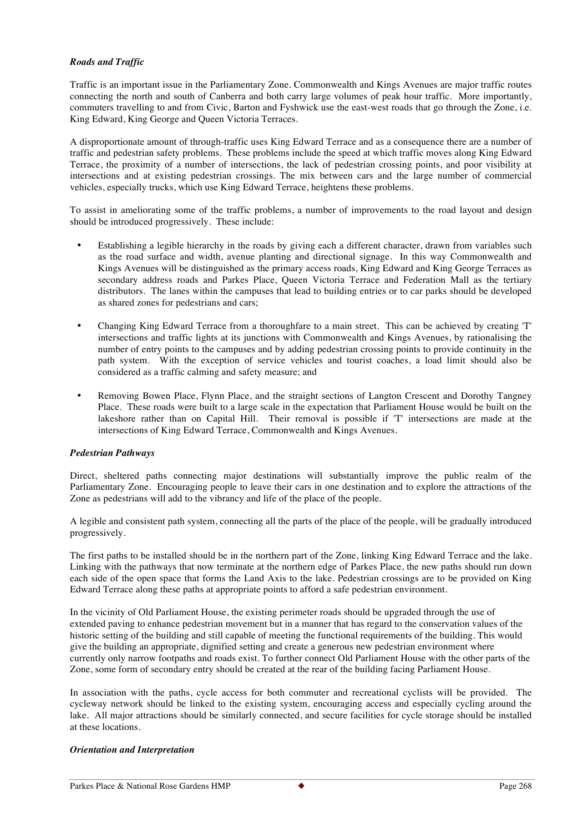# *Roads and Traffic*

Traffic is an important issue in the Parliamentary Zone. Commonwealth and Kings Avenues are major traffic routes connecting the north and south of Canberra and both carry large volumes of peak hour traffic. More importantly, commuters travelling to and from Civic, Barton and Fyshwick use the east-west roads that go through the Zone, i.e. King Edward, King George and Queen Victoria Terraces.

A disproportionate amount of through-traffic uses King Edward Terrace and as a consequence there are a number of traffic and pedestrian safety problems. These problems include the speed at which traffic moves along King Edward Terrace, the proximity of a number of intersections, the lack of pedestrian crossing points, and poor visibility at intersections and at existing pedestrian crossings. The mix between cars and the large number of commercial vehicles, especially trucks, which use King Edward Terrace, heightens these problems.

To assist in ameliorating some of the traffic problems, a number of improvements to the road layout and design should be introduced progressively. These include:

- Establishing a legible hierarchy in the roads by giving each a different character, drawn from variables such as the road surface and width, avenue planting and directional signage. In this way Commonwealth and Kings Avenues will be distinguished as the primary access roads, King Edward and King George Terraces as secondary address roads and Parkes Place, Queen Victoria Terrace and Federation Mall as the tertiary distributors. The lanes within the campuses that lead to building entries or to car parks should be developed as shared zones for pedestrians and cars;
- Changing King Edward Terrace from a thoroughfare to a main street. This can be achieved by creating 'T' intersections and traffic lights at its junctions with Commonwealth and Kings Avenues, by rationalising the number of entry points to the campuses and by adding pedestrian crossing points to provide continuity in the path system. With the exception of service vehicles and tourist coaches, a load limit should also be considered as a traffic calming and safety measure; and
- Removing Bowen Place, Flynn Place, and the straight sections of Langton Crescent and Dorothy Tangney Place. These roads were built to a large scale in the expectation that Parliament House would be built on the lakeshore rather than on Capital Hill. Their removal is possible if 'T' intersections are made at the intersections of King Edward Terrace, Commonwealth and Kings Avenues.

#### *Pedestrian Pathways*

Direct, sheltered paths connecting major destinations will substantially improve the public realm of the Parliamentary Zone. Encouraging people to leave their cars in one destination and to explore the attractions of the Zone as pedestrians will add to the vibrancy and life of the place of the people.

A legible and consistent path system, connecting all the parts of the place of the people, will be gradually introduced progressively.

The first paths to be installed should be in the northern part of the Zone, linking King Edward Terrace and the lake. Linking with the pathways that now terminate at the northern edge of Parkes Place, the new paths should run down each side of the open space that forms the Land Axis to the lake. Pedestrian crossings are to be provided on King Edward Terrace along these paths at appropriate points to afford a safe pedestrian environment.

In the vicinity of Old Parliament House, the existing perimeter roads should be upgraded through the use of extended paving to enhance pedestrian movement but in a manner that has regard to the conservation values of the historic setting of the building and still capable of meeting the functional requirements of the building. This would give the building an appropriate, dignified setting and create a generous new pedestrian environment where currently only narrow footpaths and roads exist. To further connect Old Parliament House with the other parts of the Zone, some form of secondary entry should be created at the rear of the building facing Parliament House.

In association with the paths, cycle access for both commuter and recreational cyclists will be provided. The cycleway network should be linked to the existing system, encouraging access and especially cycling around the lake. All major attractions should be similarly connected, and secure facilities for cycle storage should be installed at these locations.

#### *Orientation and Interpretation*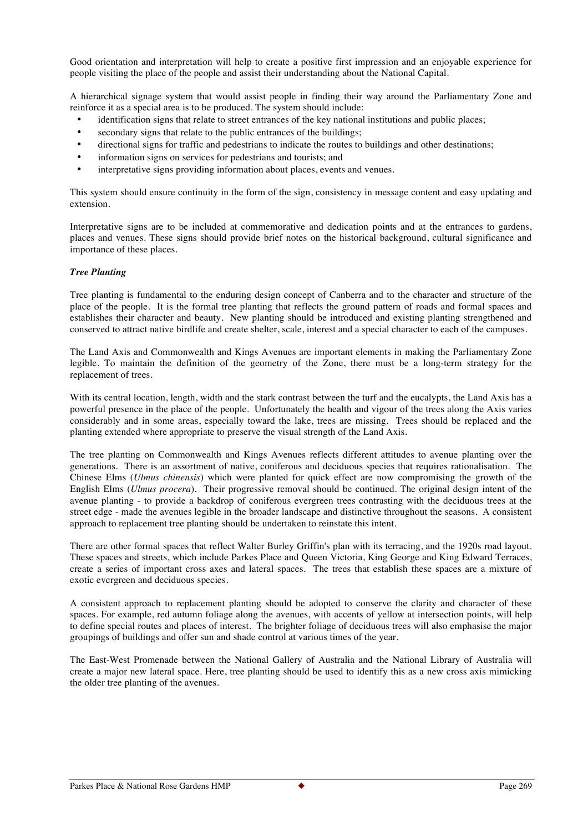Good orientation and interpretation will help to create a positive first impression and an enjoyable experience for people visiting the place of the people and assist their understanding about the National Capital.

A hierarchical signage system that would assist people in finding their way around the Parliamentary Zone and reinforce it as a special area is to be produced. The system should include:

- identification signs that relate to street entrances of the key national institutions and public places;
- secondary signs that relate to the public entrances of the buildings;
- directional signs for traffic and pedestrians to indicate the routes to buildings and other destinations;
- information signs on services for pedestrians and tourists; and
- interpretative signs providing information about places, events and venues.

This system should ensure continuity in the form of the sign, consistency in message content and easy updating and extension.

Interpretative signs are to be included at commemorative and dedication points and at the entrances to gardens, places and venues. These signs should provide brief notes on the historical background, cultural significance and importance of these places.

# *Tree Planting*

Tree planting is fundamental to the enduring design concept of Canberra and to the character and structure of the place of the people. It is the formal tree planting that reflects the ground pattern of roads and formal spaces and establishes their character and beauty. New planting should be introduced and existing planting strengthened and conserved to attract native birdlife and create shelter, scale, interest and a special character to each of the campuses.

The Land Axis and Commonwealth and Kings Avenues are important elements in making the Parliamentary Zone legible. To maintain the definition of the geometry of the Zone, there must be a long-term strategy for the replacement of trees.

With its central location, length, width and the stark contrast between the turf and the eucalypts, the Land Axis has a powerful presence in the place of the people. Unfortunately the health and vigour of the trees along the Axis varies considerably and in some areas, especially toward the lake, trees are missing. Trees should be replaced and the planting extended where appropriate to preserve the visual strength of the Land Axis.

The tree planting on Commonwealth and Kings Avenues reflects different attitudes to avenue planting over the generations. There is an assortment of native, coniferous and deciduous species that requires rationalisation. The Chinese Elms (*Ulmus chinensis*) which were planted for quick effect are now compromising the growth of the English Elms (*Ulmus procera*). Their progressive removal should be continued. The original design intent of the avenue planting - to provide a backdrop of coniferous evergreen trees contrasting with the deciduous trees at the street edge - made the avenues legible in the broader landscape and distinctive throughout the seasons. A consistent approach to replacement tree planting should be undertaken to reinstate this intent.

There are other formal spaces that reflect Walter Burley Griffin's plan with its terracing, and the 1920s road layout. These spaces and streets, which include Parkes Place and Queen Victoria, King George and King Edward Terraces, create a series of important cross axes and lateral spaces. The trees that establish these spaces are a mixture of exotic evergreen and deciduous species.

A consistent approach to replacement planting should be adopted to conserve the clarity and character of these spaces. For example, red autumn foliage along the avenues, with accents of yellow at intersection points, will help to define special routes and places of interest. The brighter foliage of deciduous trees will also emphasise the major groupings of buildings and offer sun and shade control at various times of the year.

The East-West Promenade between the National Gallery of Australia and the National Library of Australia will create a major new lateral space. Here, tree planting should be used to identify this as a new cross axis mimicking the older tree planting of the avenues.